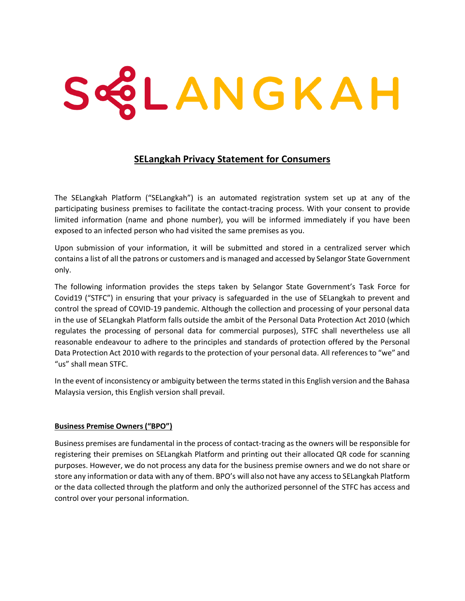# SQLANGKAH

# **SELangkah Privacy Statement for Consumers**

The SELangkah Platform ("SELangkah") is an automated registration system set up at any of the participating business premises to facilitate the contact-tracing process. With your consent to provide limited information (name and phone number), you will be informed immediately if you have been exposed to an infected person who had visited the same premises as you.

Upon submission of your information, it will be submitted and stored in a centralized server which contains a list of all the patrons or customers and is managed and accessed by Selangor State Government only.

The following information provides the steps taken by Selangor State Government's Task Force for Covid19 ("STFC") in ensuring that your privacy is safeguarded in the use of SELangkah to prevent and control the spread of COVID-19 pandemic. Although the collection and processing of your personal data in the use of SELangkah Platform falls outside the ambit of the Personal Data Protection Act 2010 (which regulates the processing of personal data for commercial purposes), STFC shall nevertheless use all reasonable endeavour to adhere to the principles and standards of protection offered by the Personal Data Protection Act 2010 with regards to the protection of your personal data. All references to "we" and "us" shall mean STFC.

In the event of inconsistency or ambiguity between the terms stated in this English version and the Bahasa Malaysia version, this English version shall prevail.

# **Business Premise Owners ("BPO")**

Business premises are fundamental in the process of contact-tracing as the owners will be responsible for registering their premises on SELangkah Platform and printing out their allocated QR code for scanning purposes. However, we do not process any data for the business premise owners and we do not share or store any information or data with any of them. BPO's will also not have any access to SELangkah Platform or the data collected through the platform and only the authorized personnel of the STFC has access and control over your personal information.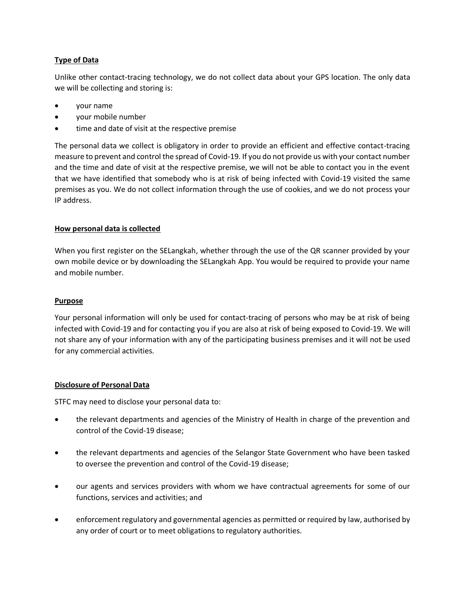# **Type of Data**

Unlike other contact-tracing technology, we do not collect data about your GPS location. The only data we will be collecting and storing is:

- your name
- your mobile number
- time and date of visit at the respective premise

The personal data we collect is obligatory in order to provide an efficient and effective contact-tracing measure to prevent and control the spread of Covid-19. If you do not provide us with your contact number and the time and date of visit at the respective premise, we will not be able to contact you in the event that we have identified that somebody who is at risk of being infected with Covid-19 visited the same premises as you. We do not collect information through the use of cookies, and we do not process your IP address.

# **How personal data is collected**

When you first register on the SELangkah, whether through the use of the QR scanner provided by your own mobile device or by downloading the SELangkah App. You would be required to provide your name and mobile number.

# **Purpose**

Your personal information will only be used for contact-tracing of persons who may be at risk of being infected with Covid-19 and for contacting you if you are also at risk of being exposed to Covid-19. We will not share any of your information with any of the participating business premises and it will not be used for any commercial activities.

# **Disclosure of Personal Data**

STFC may need to disclose your personal data to:

- the relevant departments and agencies of the Ministry of Health in charge of the prevention and control of the Covid-19 disease;
- the relevant departments and agencies of the Selangor State Government who have been tasked to oversee the prevention and control of the Covid-19 disease;
- our agents and services providers with whom we have contractual agreements for some of our functions, services and activities; and
- enforcement regulatory and governmental agencies as permitted or required by law, authorised by any order of court or to meet obligations to regulatory authorities.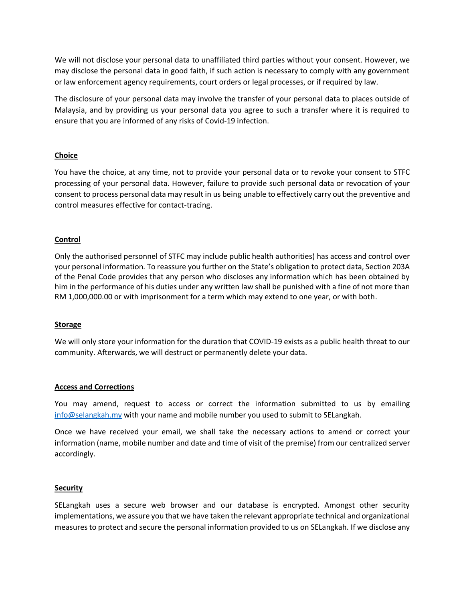We will not disclose your personal data to unaffiliated third parties without your consent. However, we may disclose the personal data in good faith, if such action is necessary to comply with any government or law enforcement agency requirements, court orders or legal processes, or if required by law.

The disclosure of your personal data may involve the transfer of your personal data to places outside of Malaysia, and by providing us your personal data you agree to such a transfer where it is required to ensure that you are informed of any risks of Covid-19 infection.

# **Choice**

You have the choice, at any time, not to provide your personal data or to revoke your consent to STFC processing of your personal data. However, failure to provide such personal data or revocation of your consent to process personal data may result in us being unable to effectively carry out the preventive and control measures effective for contact-tracing.

# **Control**

Only the authorised personnel of STFC may include public health authorities) has access and control over your personal information. To reassure you further on the State's obligation to protect data, Section 203A of the Penal Code provides that any person who discloses any information which has been obtained by him in the performance of his duties under any written law shall be punished with a fine of not more than RM 1,000,000.00 or with imprisonment for a term which may extend to one year, or with both.

# **Storage**

We will only store your information for the duration that COVID-19 exists as a public health threat to our community. Afterwards, we will destruct or permanently delete your data.

# **Access and Corrections**

You may amend, request to access or correct the information submitted to us by emailing [info@selangkah.my](mailto:info@selangkah.my) with your name and mobile number you used to submit to SELangkah.

Once we have received your email, we shall take the necessary actions to amend or correct your information (name, mobile number and date and time of visit of the premise) from our centralized server accordingly.

# **Security**

SELangkah uses a secure web browser and our database is encrypted. Amongst other security implementations, we assure you that we have taken the relevant appropriate technical and organizational measures to protect and secure the personal information provided to us on SELangkah. If we disclose any